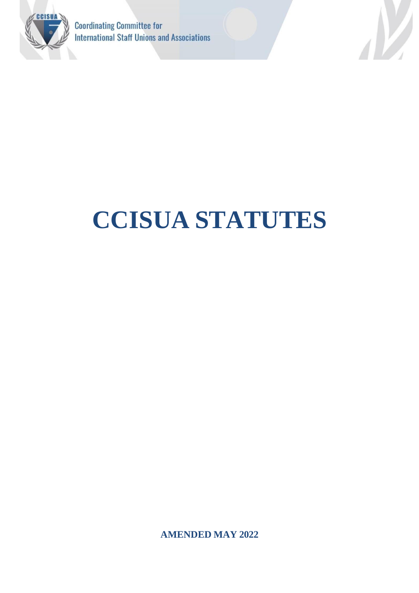



# **CCISUA STATUTES**

**AMENDED MAY 2022**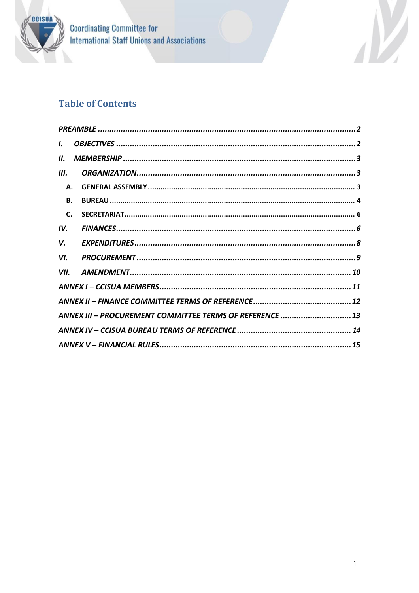

**Coordinating Committee for<br>International Staff Unions and Associations** 

# **Table of Contents**

| I.        |                                                          |  |
|-----------|----------------------------------------------------------|--|
| Н.        |                                                          |  |
| Ш.        |                                                          |  |
| Α.        |                                                          |  |
| <b>B.</b> |                                                          |  |
| C.        |                                                          |  |
| IV.       |                                                          |  |
| V.        |                                                          |  |
| VI.       |                                                          |  |
| VII.      |                                                          |  |
|           |                                                          |  |
|           |                                                          |  |
|           | ANNEX III - PROCUREMENT COMMITTEE TERMS OF REFERENCE  13 |  |
|           |                                                          |  |
|           |                                                          |  |

V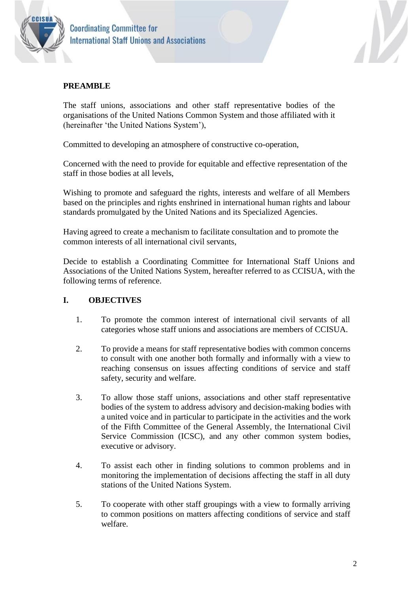



#### <span id="page-2-0"></span>**PREAMBLE**

The staff unions, associations and other staff representative bodies of the organisations of the United Nations Common System and those affiliated with it (hereinafter 'the United Nations System'),

Committed to developing an atmosphere of constructive co-operation,

Concerned with the need to provide for equitable and effective representation of the staff in those bodies at all levels,

Wishing to promote and safeguard the rights, interests and welfare of all Members based on the principles and rights enshrined in international human rights and labour standards promulgated by the United Nations and its Specialized Agencies.

Having agreed to create a mechanism to facilitate consultation and to promote the common interests of all international civil servants,

Decide to establish a Coordinating Committee for International Staff Unions and Associations of the United Nations System, hereafter referred to as CCISUA, with the following terms of reference.

#### <span id="page-2-1"></span>**I. OBJECTIVES**

- 1. To promote the common interest of international civil servants of all categories whose staff unions and associations are members of CCISUA.
- 2. To provide a means for staff representative bodies with common concerns to consult with one another both formally and informally with a view to reaching consensus on issues affecting conditions of service and staff safety, security and welfare.
- 3. To allow those staff unions, associations and other staff representative bodies of the system to address advisory and decision-making bodies with a united voice and in particular to participate in the activities and the work of the Fifth Committee of the General Assembly, the International Civil Service Commission (ICSC), and any other common system bodies, executive or advisory.
- 4. To assist each other in finding solutions to common problems and in monitoring the implementation of decisions affecting the staff in all duty stations of the United Nations System.
- 5. To cooperate with other staff groupings with a view to formally arriving to common positions on matters affecting conditions of service and staff welfare.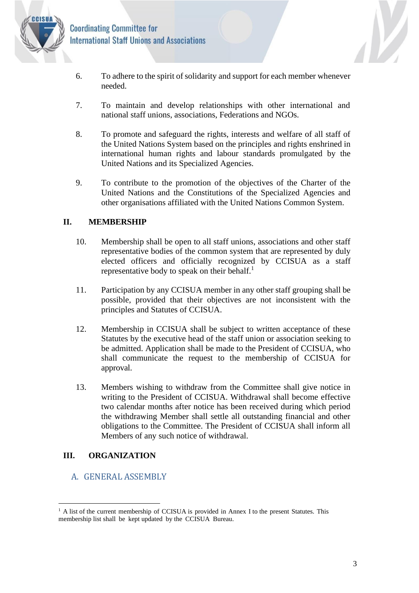

- 6. To adhere to the spirit of solidarity and support for each member whenever needed.
- 7. To maintain and develop relationships with other international and national staff unions, associations, Federations and NGOs.
- 8. To promote and safeguard the rights, interests and welfare of all staff of the United Nations System based on the principles and rights enshrined in international human rights and labour standards promulgated by the United Nations and its Specialized Agencies.
- 9. To contribute to the promotion of the objectives of the Charter of the United Nations and the Constitutions of the Specialized Agencies and other organisations affiliated with the United Nations Common System.

#### <span id="page-3-0"></span>**II. MEMBERSHIP**

- 10. Membership shall be open to all staff unions, associations and other staff representative bodies of the common system that are represented by duly elected officers and officially recognized by CCISUA as a staff representative body to speak on their behalf. $<sup>1</sup>$ </sup>
- 11. Participation by any CCISUA member in any other staff grouping shall be possible, provided that their objectives are not inconsistent with the principles and Statutes of CCISUA.
- 12. Membership in CCISUA shall be subject to written acceptance of these Statutes by the executive head of the staff union or association seeking to be admitted. Application shall be made to the President of CCISUA, who shall communicate the request to the membership of CCISUA for approval.
- 13. Members wishing to withdraw from the Committee shall give notice in writing to the President of CCISUA. Withdrawal shall become effective two calendar months after notice has been received during which period the withdrawing Member shall settle all outstanding financial and other obligations to the Committee. The President of CCISUA shall inform all Members of any such notice of withdrawal.

#### <span id="page-3-1"></span>**III. ORGANIZATION**

### <span id="page-3-2"></span>A. GENERAL ASSEMBLY

N

<sup>&</sup>lt;sup>1</sup> A list of the current membership of CCISUA is provided in Annex I to the present Statutes. This membership list shall be kept updated by the CCISUA Bureau.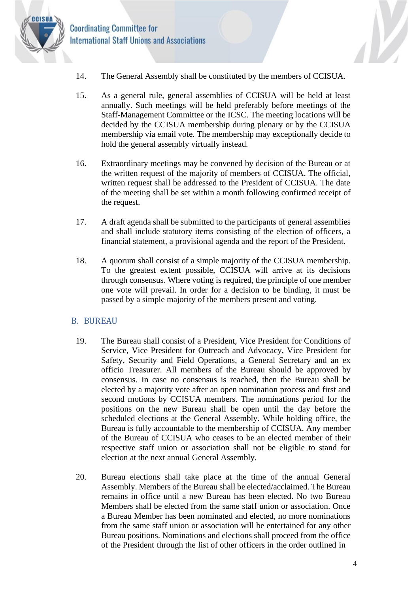

- **Coordinating Committee for International Staff Unions and Associations** 
	- 14. The General Assembly shall be constituted by the members of CCISUA.
	- 15. As a general rule, general assemblies of CCISUA will be held at least annually. Such meetings will be held preferably before meetings of the Staff-Management Committee or the ICSC. The meeting locations will be decided by the CCISUA membership during plenary or by the CCISUA membership via email vote. The membership may exceptionally decide to hold the general assembly virtually instead.
	- 16. Extraordinary meetings may be convened by decision of the Bureau or at the written request of the majority of members of CCISUA. The official, written request shall be addressed to the President of CCISUA. The date of the meeting shall be set within a month following confirmed receipt of the request.
	- 17. A draft agenda shall be submitted to the participants of general assemblies and shall include statutory items consisting of the election of officers, a financial statement, a provisional agenda and the report of the President.
	- 18. A quorum shall consist of a simple majority of the CCISUA membership. To the greatest extent possible, CCISUA will arrive at its decisions through consensus. Where voting is required, the principle of one member one vote will prevail. In order for a decision to be binding, it must be passed by a simple majority of the members present and voting.

#### <span id="page-4-0"></span>B. BUREAU

- 19. The Bureau shall consist of a President, Vice President for Conditions of Service, Vice President for Outreach and Advocacy, Vice President for Safety, Security and Field Operations, a General Secretary and an ex officio Treasurer. All members of the Bureau should be approved by consensus. In case no consensus is reached, then the Bureau shall be elected by a majority vote after an open nomination process and first and second motions by CCISUA members. The nominations period for the positions on the new Bureau shall be open until the day before the scheduled elections at the General Assembly. While holding office, the Bureau is fully accountable to the membership of CCISUA. Any member of the Bureau of CCISUA who ceases to be an elected member of their respective staff union or association shall not be eligible to stand for election at the next annual General Assembly.
- 20. Bureau elections shall take place at the time of the annual General Assembly. Members of the Bureau shall be elected/acclaimed. The Bureau remains in office until a new Bureau has been elected. No two Bureau Members shall be elected from the same staff union or association. Once a Bureau Member has been nominated and elected, no more nominations from the same staff union or association will be entertained for any other Bureau positions. Nominations and elections shall proceed from the office of the President through the list of other officers in the order outlined in

d.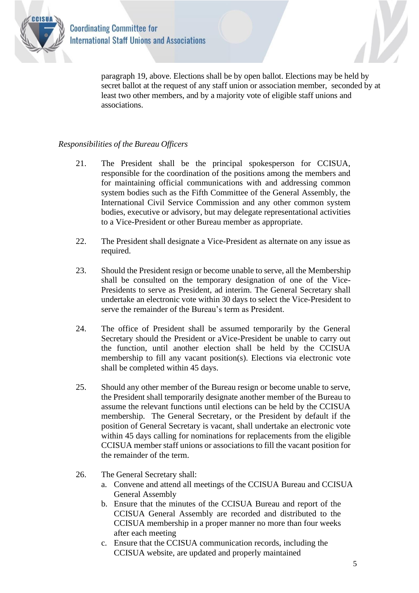

paragraph 19, above. Elections shall be by open ballot. Elections may be held by secret ballot at the request of any staff union or association member, seconded by at least two other members, and by a majority vote of eligible staff unions and associations.

#### *Responsibilities of the Bureau Officers*

- 21. The President shall be the principal spokesperson for CCISUA, responsible for the coordination of the positions among the members and for maintaining official communications with and addressing common system bodies such as the Fifth Committee of the General Assembly, the International Civil Service Commission and any other common system bodies, executive or advisory, but may delegate representational activities to a Vice-President or other Bureau member as appropriate.
- 22. The President shall designate a Vice-President as alternate on any issue as required.
- 23. Should the President resign or become unable to serve, all the Membership shall be consulted on the temporary designation of one of the Vice-Presidents to serve as President, ad interim. The General Secretary shall undertake an electronic vote within 30 days to select the Vice-President to serve the remainder of the Bureau's term as President.
- 24. The office of President shall be assumed temporarily by the General Secretary should the President or aVice-President be unable to carry out the function, until another election shall be held by the CCISUA membership to fill any vacant position(s). Elections via electronic vote shall be completed within 45 days.
- 25. Should any other member of the Bureau resign or become unable to serve, the President shall temporarily designate another member of the Bureau to assume the relevant functions until elections can be held by the CCISUA membership. The General Secretary, or the President by default if the position of General Secretary is vacant, shall undertake an electronic vote within 45 days calling for nominations for replacements from the eligible CCISUA member staff unions or associations to fill the vacant position for the remainder of the term.
- 26. The General Secretary shall:
	- a. Convene and attend all meetings of the CCISUA Bureau and CCISUA General Assembly
	- b. Ensure that the minutes of the CCISUA Bureau and report of the CCISUA General Assembly are recorded and distributed to the CCISUA membership in a proper manner no more than four weeks after each meeting
	- c. Ensure that the CCISUA communication records, including the CCISUA website, are updated and properly maintained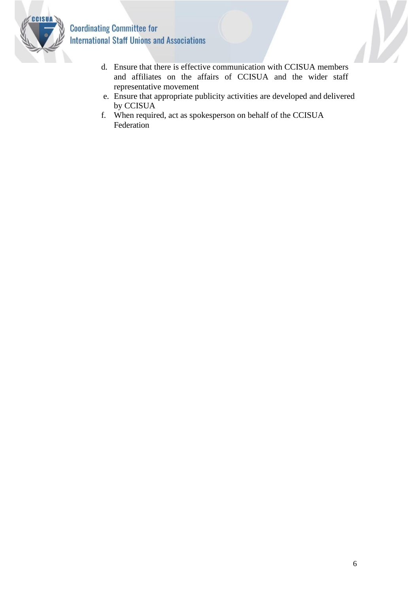

# **Coordinating Committee for International Staff Unions and Associations**

- d. Ensure that there is effective communication with CCISUA members and affiliates on the affairs of CCISUA and the wider staff representative movement
- e. Ensure that appropriate publicity activities are developed and delivered by CCISUA
- f. When required, act as spokesperson on behalf of the CCISUA Federation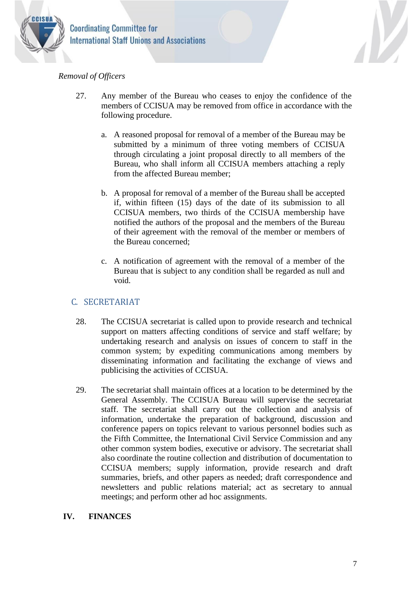

#### *Removal of Officers*

- 27. Any member of the Bureau who ceases to enjoy the confidence of the members of CCISUA may be removed from office in accordance with the following procedure.
	- a. A reasoned proposal for removal of a member of the Bureau may be submitted by a minimum of three voting members of CCISUA through circulating a joint proposal directly to all members of the Bureau, who shall inform all CCISUA members attaching a reply from the affected Bureau member;
	- b. A proposal for removal of a member of the Bureau shall be accepted if, within fifteen (15) days of the date of its submission to all CCISUA members, two thirds of the CCISUA membership have notified the authors of the proposal and the members of the Bureau of their agreement with the removal of the member or members of the Bureau concerned;
	- c. A notification of agreement with the removal of a member of the Bureau that is subject to any condition shall be regarded as null and void.

#### <span id="page-7-0"></span>C. SECRETARIAT

- 28. The CCISUA secretariat is called upon to provide research and technical support on matters affecting conditions of service and staff welfare; by undertaking research and analysis on issues of concern to staff in the common system; by expediting communications among members by disseminating information and facilitating the exchange of views and publicising the activities of CCISUA.
- 29. The secretariat shall maintain offices at a location to be determined by the General Assembly. The CCISUA Bureau will supervise the secretariat staff. The secretariat shall carry out the collection and analysis of information, undertake the preparation of background, discussion and conference papers on topics relevant to various personnel bodies such as the Fifth Committee, the International Civil Service Commission and any other common system bodies, executive or advisory. The secretariat shall also coordinate the routine collection and distribution of documentation to CCISUA members; supply information, provide research and draft summaries, briefs, and other papers as needed; draft correspondence and newsletters and public relations material; act as secretary to annual meetings; and perform other ad hoc assignments.

#### <span id="page-7-1"></span>**IV. FINANCES**

N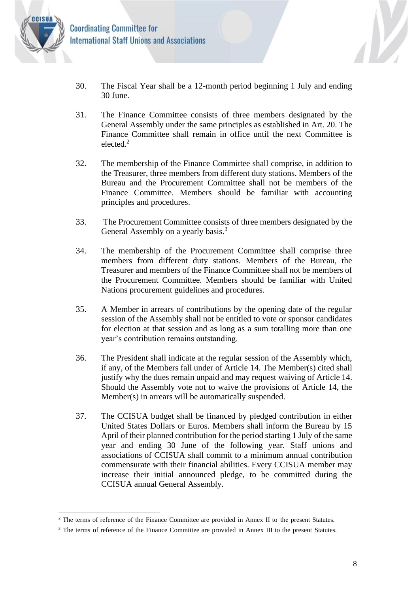

- 30. The Fiscal Year shall be a 12-month period beginning 1 July and ending 30 June.
- 31. The Finance Committee consists of three members designated by the General Assembly under the same principles as established in Art. 20. The Finance Committee shall remain in office until the next Committee is elected.<sup>2</sup>
- 32. The membership of the Finance Committee shall comprise, in addition to the Treasurer, three members from different duty stations. Members of the Bureau and the Procurement Committee shall not be members of the Finance Committee. Members should be familiar with accounting principles and procedures.
- 33. The Procurement Committee consists of three members designated by the General Assembly on a yearly basis.<sup>3</sup>
- 34. The membership of the Procurement Committee shall comprise three members from different duty stations. Members of the Bureau, the Treasurer and members of the Finance Committee shall not be members of the Procurement Committee. Members should be familiar with United Nations procurement guidelines and procedures.
- 35. A Member in arrears of contributions by the opening date of the regular session of the Assembly shall not be entitled to vote or sponsor candidates for election at that session and as long as a sum totalling more than one year's contribution remains outstanding.
- 36. The President shall indicate at the regular session of the Assembly which, if any, of the Members fall under of Article 14. The Member(s) cited shall justify why the dues remain unpaid and may request waiving of Article 14. Should the Assembly vote not to waive the provisions of Article 14, the Member(s) in arrears will be automatically suspended.
- 37. The CCISUA budget shall be financed by pledged contribution in either United States Dollars or Euros. Members shall inform the Bureau by 15 April of their planned contribution for the period starting 1 July of the same year and ending 30 June of the following year. Staff unions and associations of CCISUA shall commit to a minimum annual contribution commensurate with their financial abilities. Every CCISUA member may increase their initial announced pledge, to be committed during the CCISUA annual General Assembly.

 $\mathcal{V}$ 

<sup>&</sup>lt;sup>2</sup> The terms of reference of the Finance Committee are provided in Annex II to the present Statutes.

<sup>&</sup>lt;sup>3</sup> The terms of reference of the Finance Committee are provided in Annex III to the present Statutes.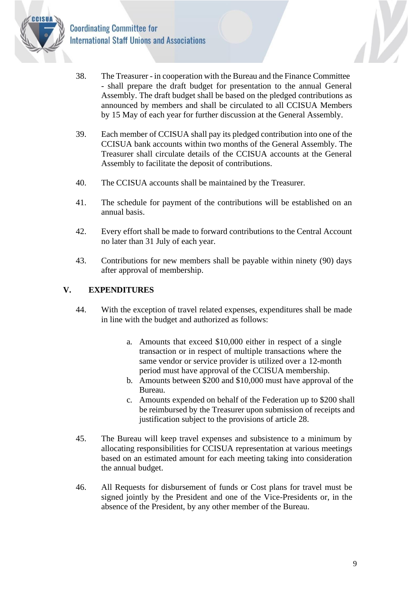

- 38. The Treasurer in cooperation with the Bureau and the Finance Committee - shall prepare the draft budget for presentation to the annual General Assembly. The draft budget shall be based on the pledged contributions as announced by members and shall be circulated to all CCISUA Members by 15 May of each year for further discussion at the General Assembly.
- 39. Each member of CCISUA shall pay its pledged contribution into one of the CCISUA bank accounts within two months of the General Assembly. The Treasurer shall circulate details of the CCISUA accounts at the General Assembly to facilitate the deposit of contributions.
- 40. The CCISUA accounts shall be maintained by the Treasurer.
- 41. The schedule for payment of the contributions will be established on an annual basis.
- 42. Every effort shall be made to forward contributions to the Central Account no later than 31 July of each year.
- 43. Contributions for new members shall be payable within ninety (90) days after approval of membership.

#### <span id="page-9-0"></span>**V. EXPENDITURES**

- 44. With the exception of travel related expenses, expenditures shall be made in line with the budget and authorized as follows:
	- a. Amounts that exceed \$10,000 either in respect of a single transaction or in respect of multiple transactions where the same vendor or service provider is utilized over a 12-month period must have approval of the CCISUA membership.
	- b. Amounts between \$200 and \$10,000 must have approval of the Bureau.
	- c. Amounts expended on behalf of the Federation up to \$200 shall be reimbursed by the Treasurer upon submission of receipts and justification subject to the provisions of article 28.
- 45. The Bureau will keep travel expenses and subsistence to a minimum by allocating responsibilities for CCISUA representation at various meetings based on an estimated amount for each meeting taking into consideration the annual budget.
- 46. All Requests for disbursement of funds or Cost plans for travel must be signed jointly by the President and one of the Vice-Presidents or, in the absence of the President, by any other member of the Bureau.

N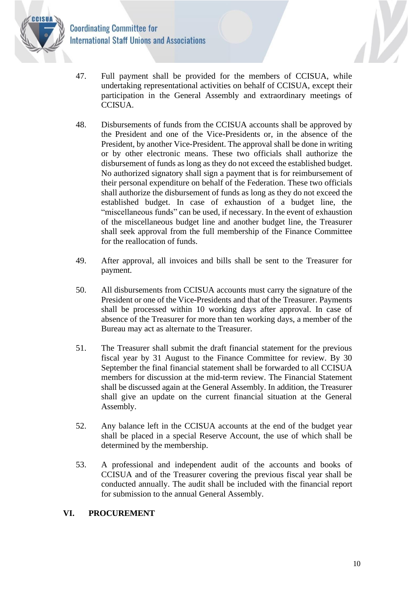**Coordinating Committee for International Staff Unions and Associations** 



- 47. Full payment shall be provided for the members of CCISUA, while undertaking representational activities on behalf of CCISUA, except their participation in the General Assembly and extraordinary meetings of CCISUA.
- 48. Disbursements of funds from the CCISUA accounts shall be approved by the President and one of the Vice-Presidents or, in the absence of the President, by another Vice-President. The approval shall be done in writing or by other electronic means. These two officials shall authorize the disbursement of funds as long as they do not exceed the established budget. No authorized signatory shall sign a payment that is for reimbursement of their personal expenditure on behalf of the Federation. These two officials shall authorize the disbursement of funds as long as they do not exceed the established budget. In case of exhaustion of a budget line, the "miscellaneous funds" can be used, if necessary. In the event of exhaustion of the miscellaneous budget line and another budget line, the Treasurer shall seek approval from the full membership of the Finance Committee for the reallocation of funds.
- 49. After approval, all invoices and bills shall be sent to the Treasurer for payment.
- 50. All disbursements from CCISUA accounts must carry the signature of the President or one of the Vice-Presidents and that of the Treasurer. Payments shall be processed within 10 working days after approval. In case of absence of the Treasurer for more than ten working days, a member of the Bureau may act as alternate to the Treasurer.
- 51. The Treasurer shall submit the draft financial statement for the previous fiscal year by 31 August to the Finance Committee for review. By 30 September the final financial statement shall be forwarded to all CCISUA members for discussion at the mid-term review. The Financial Statement shall be discussed again at the General Assembly. In addition, the Treasurer shall give an update on the current financial situation at the General Assembly.
- 52. Any balance left in the CCISUA accounts at the end of the budget year shall be placed in a special Reserve Account, the use of which shall be determined by the membership.
- 53. A professional and independent audit of the accounts and books of CCISUA and of the Treasurer covering the previous fiscal year shall be conducted annually. The audit shall be included with the financial report for submission to the annual General Assembly.

#### <span id="page-10-0"></span>**VI. PROCUREMENT**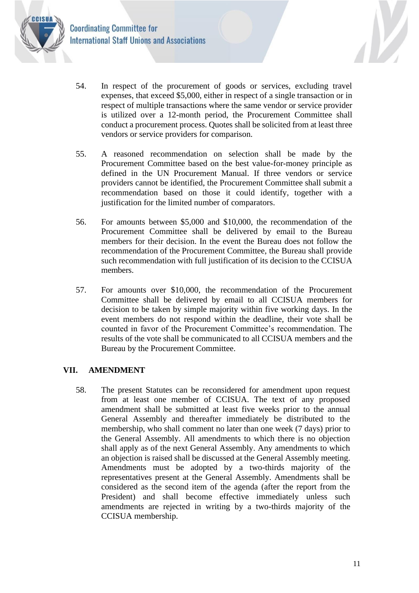

- 54. In respect of the procurement of goods or services, excluding travel expenses, that exceed \$5,000, either in respect of a single transaction or in respect of multiple transactions where the same vendor or service provider is utilized over a 12-month period, the Procurement Committee shall conduct a procurement process. Quotes shall be solicited from at least three vendors or service providers for comparison.
- 55. A reasoned recommendation on selection shall be made by the Procurement Committee based on the best value-for-money principle as defined in the UN Procurement Manual. If three vendors or service providers cannot be identified, the Procurement Committee shall submit a recommendation based on those it could identify, together with a justification for the limited number of comparators.
- 56. For amounts between \$5,000 and \$10,000, the recommendation of the Procurement Committee shall be delivered by email to the Bureau members for their decision. In the event the Bureau does not follow the recommendation of the Procurement Committee, the Bureau shall provide such recommendation with full justification of its decision to the CCISUA members.
- 57. For amounts over \$10,000, the recommendation of the Procurement Committee shall be delivered by email to all CCISUA members for decision to be taken by simple majority within five working days. In the event members do not respond within the deadline, their vote shall be counted in favor of the Procurement Committee's recommendation. The results of the vote shall be communicated to all CCISUA members and the Bureau by the Procurement Committee.

#### <span id="page-11-0"></span>**VII. AMENDMENT**

58. The present Statutes can be reconsidered for amendment upon request from at least one member of CCISUA. The text of any proposed amendment shall be submitted at least five weeks prior to the annual General Assembly and thereafter immediately be distributed to the membership, who shall comment no later than one week (7 days) prior to the General Assembly. All amendments to which there is no objection shall apply as of the next General Assembly. Any amendments to which an objection is raised shall be discussed at the General Assembly meeting. Amendments must be adopted by a two-thirds majority of the representatives present at the General Assembly. Amendments shall be considered as the second item of the agenda (after the report from the President) and shall become effective immediately unless such amendments are rejected in writing by a two-thirds majority of the CCISUA membership.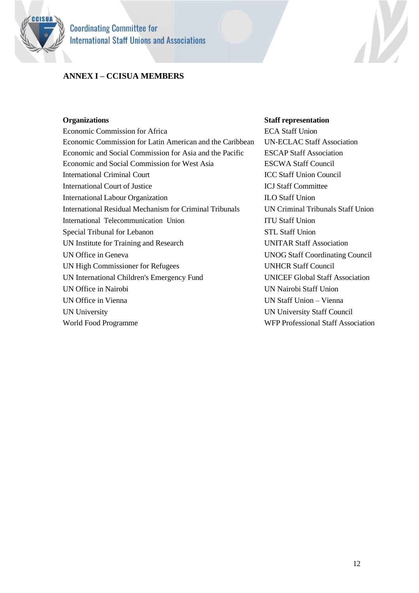

#### <span id="page-12-0"></span>**ANNEX I – CCISUA MEMBERS**

Economic Commission for Africa ECA Staff Union Economic Commission for Latin American and the Caribbean UN-ECLAC Staff Association Economic and Social Commission for Asia and the Pacific ESCAP Staff Association Economic and Social Commission for West Asia ESCWA Staff Council International Criminal Court **ICC Staff Union Council** ICJ Staff Court of Justice **ICJ Staff Committee** International Labour Organization ILO Staff Union International Residual Mechanism for Criminal Tribunals UN Criminal Tribunals Staff Union International Telecommunication Union ITU Staff Union Special Tribunal for Lebanon STL Staff Union UN Institute for Training and Research UNITAR Staff Association UN Office in Geneva UNOG Staff Coordinating Council UN High Commissioner for Refugees UNHCR Staff Council UN International Children's Emergency Fund UNICEF Global Staff Association UN Office in Nairobi UN Nairobi Staff Union UN Office in Vienna UN Staff Union – Vienna UN University UN University Staff Council WFP Professional Staff Association

#### **Organizations Staff representation**

V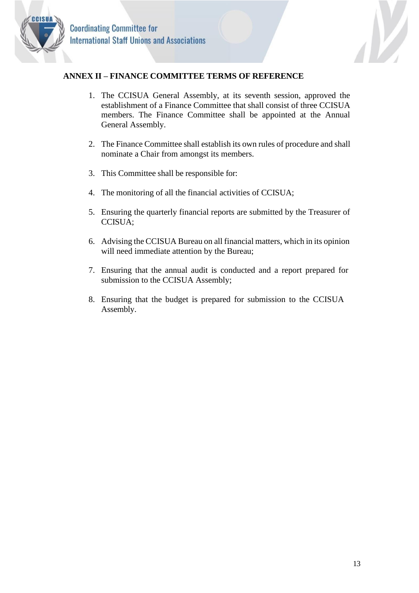



#### <span id="page-13-0"></span>**ANNEX II – FINANCE COMMITTEE TERMS OF REFERENCE**

- 1. The CCISUA General Assembly, at its seventh session, approved the establishment of a Finance Committee that shall consist of three CCISUA members. The Finance Committee shall be appointed at the Annual General Assembly.
- 2. The Finance Committee shall establish its own rules of procedure and shall nominate a Chair from amongst its members.
- 3. This Committee shall be responsible for:
- 4. The monitoring of all the financial activities of CCISUA;
- 5. Ensuring the quarterly financial reports are submitted by the Treasurer of CCISUA;
- 6. Advising the CCISUA Bureau on all financial matters, which in its opinion will need immediate attention by the Bureau;
- 7. Ensuring that the annual audit is conducted and a report prepared for submission to the CCISUA Assembly;
- 8. Ensuring that the budget is prepared for submission to the CCISUA Assembly.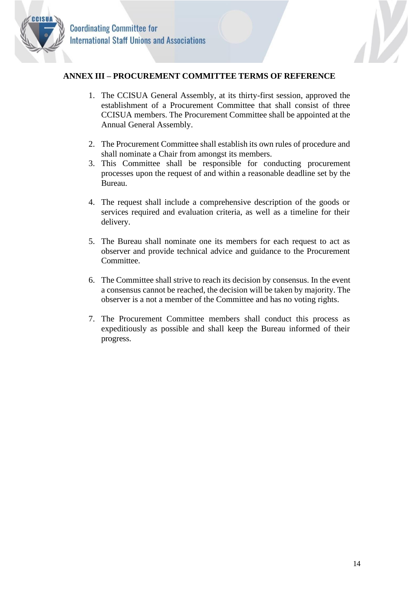



#### <span id="page-14-0"></span>**ANNEX III – PROCUREMENT COMMITTEE TERMS OF REFERENCE**

- 1. The CCISUA General Assembly, at its thirty-first session, approved the establishment of a Procurement Committee that shall consist of three CCISUA members. The Procurement Committee shall be appointed at the Annual General Assembly.
- 2. The Procurement Committee shall establish its own rules of procedure and shall nominate a Chair from amongst its members.
- 3. This Committee shall be responsible for conducting procurement processes upon the request of and within a reasonable deadline set by the Bureau.
- 4. The request shall include a comprehensive description of the goods or services required and evaluation criteria, as well as a timeline for their delivery.
- 5. The Bureau shall nominate one its members for each request to act as observer and provide technical advice and guidance to the Procurement Committee.
- 6. The Committee shall strive to reach its decision by consensus. In the event a consensus cannot be reached, the decision will be taken by majority. The observer is a not a member of the Committee and has no voting rights.
- 7. The Procurement Committee members shall conduct this process as expeditiously as possible and shall keep the Bureau informed of their progress.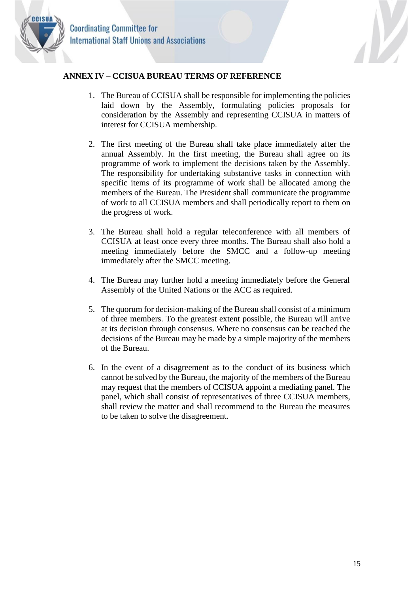

#### <span id="page-15-0"></span>**ANNEX IV – CCISUA BUREAU TERMS OF REFERENCE**

- 1. The Bureau of CCISUA shall be responsible for implementing the policies laid down by the Assembly, formulating policies proposals for consideration by the Assembly and representing CCISUA in matters of interest for CCISUA membership.
- 2. The first meeting of the Bureau shall take place immediately after the annual Assembly. In the first meeting, the Bureau shall agree on its programme of work to implement the decisions taken by the Assembly. The responsibility for undertaking substantive tasks in connection with specific items of its programme of work shall be allocated among the members of the Bureau. The President shall communicate the programme of work to all CCISUA members and shall periodically report to them on the progress of work.
- 3. The Bureau shall hold a regular teleconference with all members of CCISUA at least once every three months. The Bureau shall also hold a meeting immediately before the SMCC and a follow-up meeting immediately after the SMCC meeting.
- 4. The Bureau may further hold a meeting immediately before the General Assembly of the United Nations or the ACC as required.
- 5. The quorum for decision-making of the Bureau shall consist of a minimum of three members. To the greatest extent possible, the Bureau will arrive at its decision through consensus. Where no consensus can be reached the decisions of the Bureau may be made by a simple majority of the members of the Bureau.
- 6. In the event of a disagreement as to the conduct of its business which cannot be solved by the Bureau, the majority of the members of the Bureau may request that the members of CCISUA appoint a mediating panel. The panel, which shall consist of representatives of three CCISUA members, shall review the matter and shall recommend to the Bureau the measures to be taken to solve the disagreement.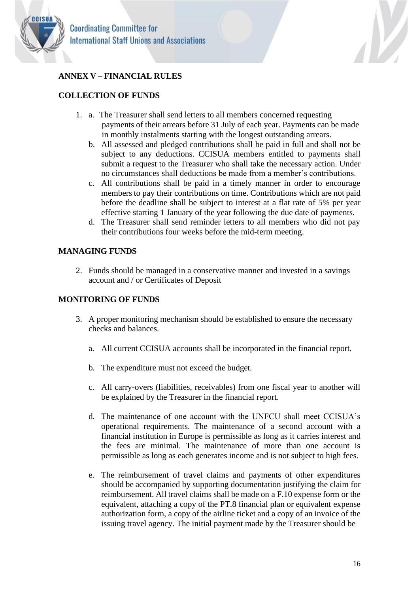



# <span id="page-16-0"></span>**ANNEX V – FINANCIAL RULES**

# **COLLECTION OF FUNDS**

- 1. a. The Treasurer shall send letters to all members concerned requesting payments of their arrears before 31 July of each year. Payments can be made in monthly instalments starting with the longest outstanding arrears.
	- b. All assessed and pledged contributions shall be paid in full and shall not be subject to any deductions. CCISUA members entitled to payments shall submit a request to the Treasurer who shall take the necessary action. Under no circumstances shall deductions be made from a member's contributions.
	- c. All contributions shall be paid in a timely manner in order to encourage members to pay their contributions on time. Contributions which are not paid before the deadline shall be subject to interest at a flat rate of 5% per year effective starting 1 January of the year following the due date of payments.
	- d. The Treasurer shall send reminder letters to all members who did not pay their contributions four weeks before the mid-term meeting.

# **MANAGING FUNDS**

2. Funds should be managed in a conservative manner and invested in a savings account and / or Certificates of Deposit

## **MONITORING OF FUNDS**

- 3. A proper monitoring mechanism should be established to ensure the necessary checks and balances.
	- a. All current CCISUA accounts shall be incorporated in the financial report.
	- b. The expenditure must not exceed the budget.
	- c. All carry-overs (liabilities, receivables) from one fiscal year to another will be explained by the Treasurer in the financial report.
	- d. The maintenance of one account with the UNFCU shall meet CCISUA's operational requirements. The maintenance of a second account with a financial institution in Europe is permissible as long as it carries interest and the fees are minimal. The maintenance of more than one account is permissible as long as each generates income and is not subject to high fees.
	- e. The reimbursement of travel claims and payments of other expenditures should be accompanied by supporting documentation justifying the claim for reimbursement. All travel claims shall be made on a F.10 expense form or the equivalent, attaching a copy of the PT.8 financial plan or equivalent expense authorization form, a copy of the airline ticket and a copy of an invoice of the issuing travel agency. The initial payment made by the Treasurer should be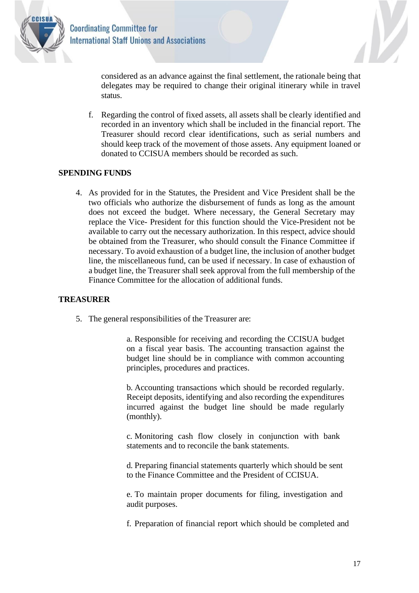

N considered as an advance against the final settlement, the rationale being that delegates may be required to change their original itinerary while in travel status.

f. Regarding the control of fixed assets, all assets shall be clearly identified and recorded in an inventory which shall be included in the financial report. The Treasurer should record clear identifications, such as serial numbers and should keep track of the movement of those assets. Any equipment loaned or donated to CCISUA members should be recorded as such.

#### **SPENDING FUNDS**

4. As provided for in the Statutes, the President and Vice President shall be the two officials who authorize the disbursement of funds as long as the amount does not exceed the budget. Where necessary, the General Secretary may replace the Vice- President for this function should the Vice-President not be available to carry out the necessary authorization. In this respect, advice should be obtained from the Treasurer, who should consult the Finance Committee if necessary. To avoid exhaustion of a budget line, the inclusion of another budget line, the miscellaneous fund, can be used if necessary. In case of exhaustion of a budget line, the Treasurer shall seek approval from the full membership of the Finance Committee for the allocation of additional funds.

#### **TREASURER**

5. The general responsibilities of the Treasurer are:

a. Responsible for receiving and recording the CCISUA budget on a fiscal year basis. The accounting transaction against the budget line should be in compliance with common accounting principles, procedures and practices.

b. Accounting transactions which should be recorded regularly. Receipt deposits, identifying and also recording the expenditures incurred against the budget line should be made regularly (monthly).

c. Monitoring cash flow closely in conjunction with bank statements and to reconcile the bank statements.

d. Preparing financial statements quarterly which should be sent to the Finance Committee and the President of CCISUA.

e. To maintain proper documents for filing, investigation and audit purposes.

f. Preparation of financial report which should be completed and